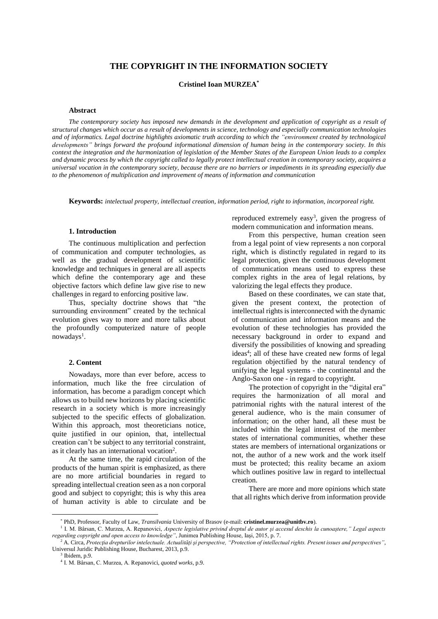# **THE COPYRIGHT IN THE INFORMATION SOCIETY**

**Cristinel Ioan MURZEA\***

## **Abstract**

The contemporary society has imposed new demands in the development and application of copyright as a result of structural changes which occur as a result of developments in science, technology and especially communication technologies and of informatics. Legal doctrine highlights axiomatic truth according to which the "environment created by technological developments" brings forward the profound informational dimension of human being in the contemporary society. In this context the integration and the harmonization of legislation of the Member States of the European Union leads to a complex and dynamic process by which the copyright called to legally protect intellectual creation in contemporary society, acquires a universal vocation in the contemporary society, because there are no barriers or impediments in its spreading especially due *to the phenomenon of multiplication and improvement of means of information and communication*

**Keywords:** *intelectual property, intellectual creation, information period, right to information, incorporeal right.*

## **1. Introduction**

The continuous multiplication and perfection of communication and computer technologies, as well as the gradual development of scientific knowledge and techniques in general are all aspects which define the contemporary age and these objective factors which define law give rise to new challenges in regard to enforcing positive law.

Thus, specialty doctrine shows that "the surrounding environment" created by the technical evolution gives way to more and more talks about the profoundly computerized nature of people nowadays<sup>1</sup>.

#### **2. Content**

Nowadays, more than ever before, access to information, much like the free circulation of information, has become a paradigm concept which allows us to build new horizons by placing scientific research in a society which is more increasingly subjected to the specific effects of globalization. Within this approach, most theoreticians notice, quite justified in our opinion, that, intellectual creation can't be subject to any territorial constraint, as it clearly has an international vocation<sup>2</sup>.

At the same time, the rapid circulation of the products of the human spirit is emphasized, as there are no more artificial boundaries in regard to spreading intellectual creation seen as a non corporal good and subject to copyright; this is why this area of human activity is able to circulate and be

reproduced extremely easy<sup>3</sup>, given the progress of modern communication and information means.

From this perspective, human creation seen from a legal point of view represents a non corporal right, which is distinctly regulated in regard to its legal protection, given the continuous development of communication means used to express these complex rights in the area of legal relations, by valorizing the legal effects they produce.

Based on these coordinates, we can state that, given the present context, the protection of intellectual rights is interconnected with the dynamic of communication and information means and the evolution of these technologies has provided the necessary background in order to expand and diversify the possibilities of knowing and spreading ideas<sup>4</sup>; all of these have created new forms of legal regulation objectified by the natural tendency of unifying the legal systems - the continental and the Anglo-Saxon one - in regard to copyright.

The protection of copyright in the "digital era" requires the harmonization of all moral and patrimonial rights with the natural interest of the general audience, who is the main consumer of information; on the other hand, all these must be included within the legal interest of the member states of international communities, whether these states are members of international organizations or not, the author of a new work and the work itself must be protected; this reality became an axiom which outlines positive law in regard to intellectual creation.

There are more and more opinions which state that all rights which derive from information provide

 $\overline{a}$ 

<sup>\*</sup> PhD, Professor, Faculty of Law, *Transilvania* University of Brasov (e-mail: **cristinel.murzea@unitbv.ro**).

<sup>&</sup>lt;sup>1</sup> I. M. Bârsan, C. Murzea, A. Repanovici, Aspecte legislative privind dreptul de autor și accesul deschis la cunoaștere," Legal aspects *regarding copyright and open access to knowledge"*, Junimea Publishing House, Iaşi, 2015, p. 7.

<sup>2</sup> A. Circa, *Protecţia drepturilor intelectuale. Actualităţi şi perspective, "Protection of intellectual rights. Present issues and perspectives"*, Universul Juridic Publishing House, Bucharest, 2013, p.9.

 $3$  Ibidem, p.9.

<sup>4</sup> I. M. Bârsan, C. Murzea, A. Repanovici, *quoted works*, p.9.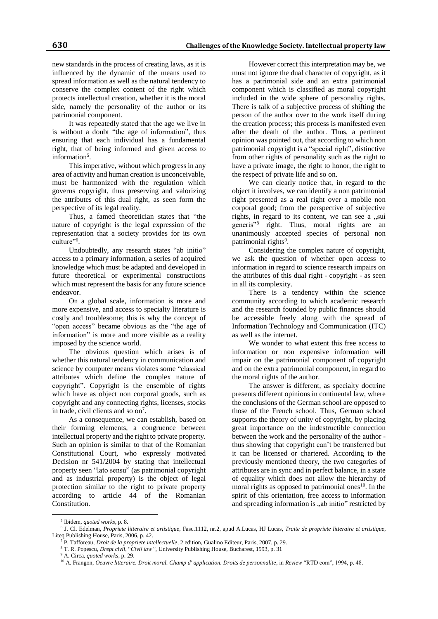new standards in the process of creating laws, as it is influenced by the dynamic of the means used to spread information as well as the natural tendency to conserve the complex content of the right which protects intellectual creation, whether it is the moral side, namely the personality of the author or its patrimonial component.

It was repeatedly stated that the age we live in is without a doubt "the age of information", thus ensuring that each individual has a fundamental right, that of being informed and given access to information<sup>5</sup>.

This imperative, without which progress in any area of activity and human creation is unconceivable, must be harmonized with the regulation which governs copyright, thus preserving and valorizing the attributes of this dual right, as seen form the perspective of its legal reality.

Thus, a famed theoretician states that "the nature of copyright is the legal expression of the representation that a society provides for its own culture"<sup>6</sup>.

Undoubtedly, any research states "ab initio" access to a primary information, a series of acquired knowledge which must be adapted and developed in future theoretical or experimental constructions which must represent the basis for any future science endeavor.

On a global scale, information is more and more expensive, and access to specialty literature is costly and troublesome; this is why the concept of "open access" became obvious as the "the age of information" is more and more visible as a reality imposed by the science world.

The obvious question which arises is of whether this natural tendency in communication and science by computer means violates some "classical attributes which define the complex nature of copyright". Copyright is the ensemble of rights which have as object non corporal goods, such as copyright and any connecting rights, licenses, stocks in trade, civil clients and so on<sup>7</sup>.

As a consequence, we can establish, based on their forming elements, a congruence between intellectual property and the right to private property. Such an opinion is similar to that of the Romanian Constitutional Court, who expressly motivated Decision nr 541/2004 by stating that intellectual property seen "lato sensu" (as patrimonial copyright and as industrial property) is the object of legal protection similar to the right to private property according to article 44 of the Romanian Constitution.

However correct this interpretation may be, we must not ignore the dual character of copyright, as it has a patrimonial side and an extra patrimonial component which is classified as moral copyright included in the wide sphere of personality rights. There is talk of a subjective process of shifting the person of the author over to the work itself during the creation process; this process is manifested even after the death of the author. Thus, a pertinent opinion was pointed out, that according to which non patrimonial copyright is a "special right", distinctive from other rights of personality such as the right to have a private image, the right to honor, the right to the respect of private life and so on.

We can clearly notice that, in regard to the object it involves, we can identify a non patrimonial right presented as a real right over a mobile non corporal good; from the perspective of subjective rights, in regard to its content, we can see a "sui generis"<sup>8</sup> right. Thus, moral rights are an unanimously accepted species of personal non patrimonial rights<sup>9</sup>.

Considering the complex nature of copyright, we ask the question of whether open access to information in regard to science research impairs on the attributes of this dual right - copyright - as seen in all its complexity.

There is a tendency within the science community according to which academic research and the research founded by public finances should be accessible freely along with the spread of Information Technology and Communication (ITC) as well as the internet.

We wonder to what extent this free access to information or non expensive information will impair on the patrimonial component of copyright and on the extra patrimonial component, in regard to the moral rights of the author.

The answer is different, as specialty doctrine presents different opinions in continental law, where the conclusions of the German school are opposed to those of the French school. Thus, German school supports the theory of unity of copyright, by placing great importance on the indestructible connection between the work and the personality of the author thus showing that copyright can't be transferred but it can be licensed or chartered. According to the previously mentioned theory, the two categories of attributes are in sync and in perfect balance, in a state of equality which does not allow the hierarchy of moral rights as opposed to patrimonial ones $10$ . In the spirit of this orientation, free access to information and spreading information is "ab initio" restricted by

 $\overline{a}$ 

<sup>5</sup> Ibidem, *quoted works*, p. 8.

<sup>6</sup> J. Cl. Edelman, *Propriete litteraire et artistique*, Fasc.1112, nr.2, apud A.Lucas, HJ Lucas, *Traite de propriete litteraire et artistique*, Liteq Publishing House, Paris, 2006, p. 42.

<sup>7</sup> P. Tafforeau, *Droit de la propriete intellectuelle*, 2 edition, Gualino Editeur, Paris, 2007, p. 29.

<sup>8</sup> T. R. Popescu, *Drept civil*, "*Civil law"*, University Publishing House, Bucharest, 1993, p. 31

<sup>9</sup> A. Circa, *quoted works*, p. 29.

<sup>&</sup>lt;sup>10</sup> A. Frangon, *Oeuvre litteraire. Droit moral. Champ d' application. Droits de personnalite*, in *Review* "RTD com", 1994, p. 48.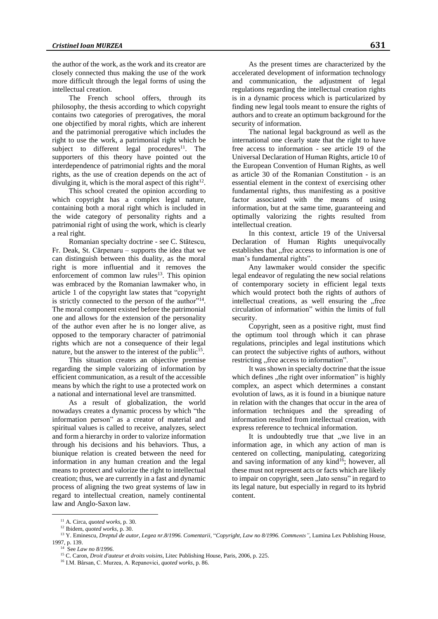the author of the work, as the work and its creator are closely connected thus making the use of the work more difficult through the legal forms of using the intellectual creation.

The French school offers, through its philosophy, the thesis according to which copyright contains two categories of prerogatives, the moral one objectified by moral rights, which are inherent and the patrimonial prerogative which includes the right to use the work, a patrimonial right which be subject to different legal procedures $11$ . The supporters of this theory have pointed out the interdependence of patrimonial rights and the moral rights, as the use of creation depends on the act of divulging it, which is the moral aspect of this right<sup>12</sup>.

This school created the opinion according to which copyright has a complex legal nature, containing both a moral right which is included in the wide category of personality rights and a patrimonial right of using the work, which is clearly a real right.

Romanian specialty doctrine - see C. Stătescu, Fr. Deak, St. Cărpenaru – supports the idea that we can distinguish between this duality, as the moral right is more influential and it removes the enforcement of common law rules<sup>13</sup>. This opinion was embraced by the Romanian lawmaker who, in article 1 of the copyright law states that "copyright is strictly connected to the person of the author"<sup>14</sup>. The moral component existed before the patrimonial one and allows for the extension of the personality of the author even after he is no longer alive, as opposed to the temporary character of patrimonial rights which are not a consequence of their legal nature, but the answer to the interest of the public<sup>15</sup>.

This situation creates an objective premise regarding the simple valorizing of information by efficient communication, as a result of the accessible means by which the right to use a protected work on a national and international level are transmitted.

As a result of globalization, the world nowadays creates a dynamic process by which "the information person" as a creator of material and spiritual values is called to receive, analyzes, select and form a hierarchy in order to valorize information through his decisions and his behaviors. Thus, a biunique relation is created between the need for information in any human creation and the legal means to protect and valorize the right to intellectual creation; thus, we are currently in a fast and dynamic process of aligning the two great systems of law in regard to intellectual creation, namely continental law and Anglo-Saxon law.

As the present times are characterized by the accelerated development of information technology and communication, the adjustment of legal regulations regarding the intellectual creation rights is in a dynamic process which is particularized by finding new legal tools meant to ensure the rights of authors and to create an optimum background for the security of information.

The national legal background as well as the international one clearly state that the right to have free access to information - see article 19 of the Universal Declaration of Human Rights, article 10 of the European Convention of Human Rights, as well as article 30 of the Romanian Constitution - is an essential element in the context of exercising other fundamental rights, thus manifesting as a positive factor associated with the means of using information, but at the same time, guaranteeing and optimally valorizing the rights resulted from intellectual creation.

In this context, article 19 of the Universal Declaration of Human Rights unequivocally establishes that "free access to information is one of man's fundamental rights".

Any lawmaker would consider the specific legal endeavor of regulating the new social relations of contemporary society in efficient legal texts which would protect both the rights of authors of intellectual creations, as well ensuring the "free circulation of information" within the limits of full security.

Copyright, seen as a positive right, must find the optimum tool through which it can phrase regulations, principles and legal institutions which can protect the subjective rights of authors, without restricting "free access to information".

It was shown in specialty doctrine that the issue which defines , the right over information" is highly complex, an aspect which determines a constant evolution of laws, as it is found in a biunique nature in relation with the changes that occur in the area of information techniques and the spreading of information resulted from intellectual creation, with express reference to technical information.

It is undoubtedly true that "we live in an information age, in which any action of man is centered on collecting, manipulating, categorizing and saving information of any kind<sup>16</sup>; however, all these must not represent acts or facts which are likely to impair on copyright, seen "lato sensu" in regard to its legal nature, but especially in regard to its hybrid content.

 $\overline{a}$ 

<sup>11</sup> A. Circa, *quoted works*, p. 30.

<sup>12</sup> Ibidem, *quoted works,* p. 30.

<sup>13</sup> Y. Eminescu, *Dreptul de autor, Legea nr.8/1996. Comentarii*, "*Copyright, Law no 8/1996. Comments"*, Lumina Lex Publishing House, 1997, p. 139.

<sup>14</sup> See *Law no 8/1996.*

<sup>15</sup> C. Caron, *Droit d'auteur et droits voisins*, Litec Publishing House, Paris, 2006, p. 225.

<sup>16</sup> I.M. Bârsan, C. Murzea, A. Repanovici, *quoted works*, p. 86.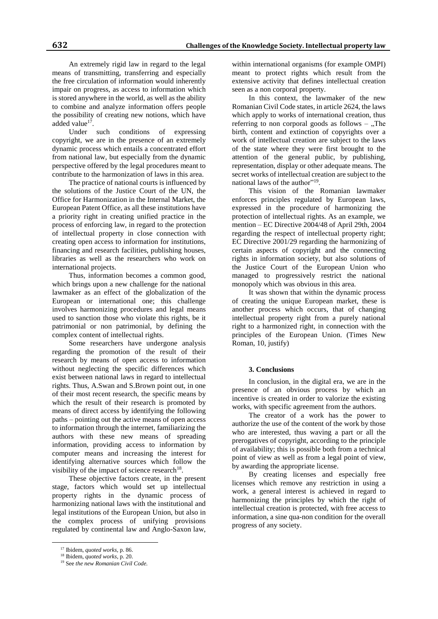An extremely rigid law in regard to the legal means of transmitting, transferring and especially the free circulation of information would inherently impair on progress, as access to information which is stored anywhere in the world, as well as the ability to combine and analyze information offers people the possibility of creating new notions, which have added value<sup>17</sup>.

Under such conditions of expressing copyright, we are in the presence of an extremely dynamic process which entails a concentrated effort from national law, but especially from the dynamic perspective offered by the legal procedures meant to contribute to the harmonization of laws in this area.

The practice of national courts is influenced by the solutions of the Justice Court of the UN, the Office for Harmonization in the Internal Market, the European Patent Office, as all these institutions have a priority right in creating unified practice in the process of enforcing law, in regard to the protection of intellectual property in close connection with creating open access to information for institutions, financing and research facilities, publishing houses, libraries as well as the researchers who work on international projects.

Thus, information becomes a common good, which brings upon a new challenge for the national lawmaker as an effect of the globalization of the European or international one; this challenge involves harmonizing procedures and legal means used to sanction those who violate this rights, be it patrimonial or non patrimonial, by defining the complex content of intellectual rights.

Some researchers have undergone analysis regarding the promotion of the result of their research by means of open access to information without neglecting the specific differences which exist between national laws in regard to intellectual rights. Thus, A.Swan and S.Brown point out, in one of their most recent research, the specific means by which the result of their research is promoted by means of direct access by identifying the following paths – pointing out the active means of open access to information through the internet, familiarizing the authors with these new means of spreading information, providing access to information by computer means and increasing the interest for identifying alternative sources which follow the visibility of the impact of science research $^{18}$ .

These objective factors create, in the present stage, factors which would set up intellectual property rights in the dynamic process of harmonizing national laws with the institutional and legal institutions of the European Union, but also in the complex process of unifying provisions regulated by continental law and Anglo-Saxon law,

 $\overline{a}$ 

within international organisms (for example OMPI) meant to protect rights which result from the extensive activity that defines intellectual creation seen as a non corporal property.

In this context, the lawmaker of the new Romanian Civil Code states, in article 2624, the laws which apply to works of international creation, thus referring to non corporal goods as follows  $-$ , The birth, content and extinction of copyrights over a work of intellectual creation are subject to the laws of the state where they were first brought to the attention of the general public, by publishing, representation, display or other adequate means. The secret works of intellectual creation are subject to the national laws of the author"<sup>19</sup>.

This vision of the Romanian lawmaker enforces principles regulated by European laws, expressed in the procedure of harmonizing the protection of intellectual rights. As an example, we mention – EC Directive 2004/48 of April 29th, 2004 regarding the respect of intellectual property right; EC Directive 2001/29 regarding the harmonizing of certain aspects of copyright and the connecting rights in information society, but also solutions of the Justice Court of the European Union who managed to progressively restrict the national monopoly which was obvious in this area.

It was shown that within the dynamic process of creating the unique European market, these is another process which occurs, that of changing intellectual property right from a purely national right to a harmonized right, in connection with the principles of the European Union. (Times New Roman, 10, justify)

## **3. Conclusions**

In conclusion, in the digital era, we are in the presence of an obvious process by which an incentive is created in order to valorize the existing works, with specific agreement from the authors.

The creator of a work has the power to authorize the use of the content of the work by those who are interested, thus waving a part or all the prerogatives of copyright, according to the principle of availability; this is possible both from a technical point of view as well as from a legal point of view, by awarding the appropriate license.

By creating licenses and especially free licenses which remove any restriction in using a work, a general interest is achieved in regard to harmonizing the principles by which the right of intellectual creation is protected, with free access to information, a sine qua-non condition for the overall progress of any society.

<sup>17</sup> Ibidem, *quoted works,* p. 86.

<sup>18</sup> Ibidem, *quoted works*, p. 20.

<sup>19</sup> See *the new Romanian Civil Code.*